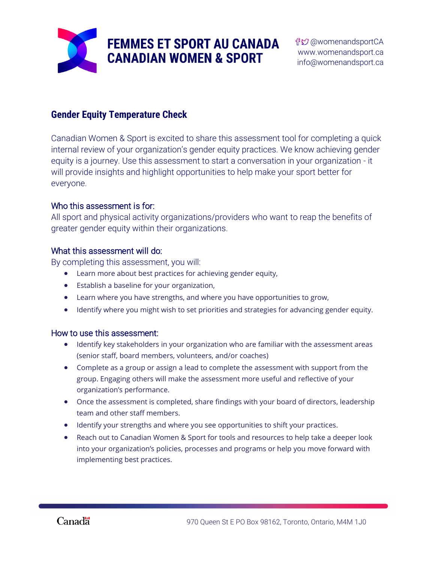

### **Gender Equity Temperature Check**

Canadian Women & Sport is excited to share this assessment tool for completing a quick internal review of your organization's gender equity practices. We know achieving gender equity is a journey. Use this assessment to start a conversation in your organization - it will provide insights and highlight opportunities to help make your sport better for everyone.

### Who this assessment is for:

All sport and physical activity organizations/providers who want to reap the benefits of greater gender equity within their organizations.

### What this assessment will do:

By completing this assessment, you will:

- Learn more about best practices for achieving gender equity,
- Establish a baseline for your organization,
- Learn where you have strengths, and where you have opportunities to grow,
- Identify where you might wish to set priorities and strategies for advancing gender equity.

### How to use this assessment:

- Identify key stakeholders in your organization who are familiar with the assessment areas (senior staff, board members, volunteers, and/or coaches)
- Complete as a group or assign a lead to complete the assessment with support from the group. Engaging others will make the assessment more useful and reflective of your organization's performance.
- Once the assessment is completed, share findings with your board of directors, leadership team and other staff members.
- Identify your strengths and where you see opportunities to shift your practices.
- Reach out to Canadian Women & Sport for tools and resources to help take a deeper look into your organization's policies, processes and programs or help you move forward with implementing best practices.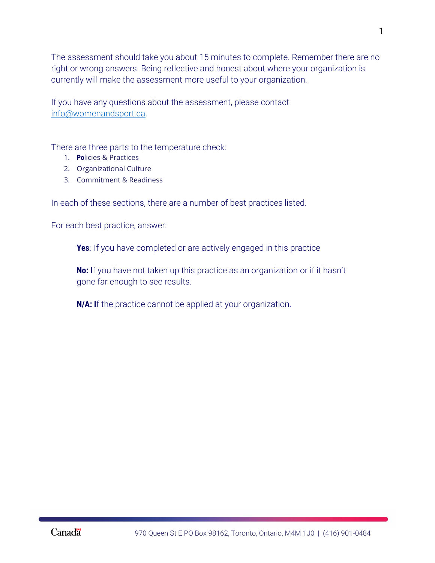The assessment should take you about 15 minutes to complete. Remember there are no right or wrong answers. Being reflective and honest about where your organization is currently will make the assessment more useful to your organization.

If you have any questions about the assessment, please contact [info@womenandsport.ca.](mailto:info@womenandsport.ca)

There are three parts to the temperature check:

- 1. Policies & Practices
- 2. Organizational Culture
- 3. Commitment & Readiness

In each of these sections, there are a number of best practices listed.

For each best practice, answer:

**Yes:** If you have completed or are actively engaged in this practice

**No**: If you have not taken up this practice as an organization or if it hasn't gone far enough to see results.

**N/A: I**f the practice cannot be applied at your organization.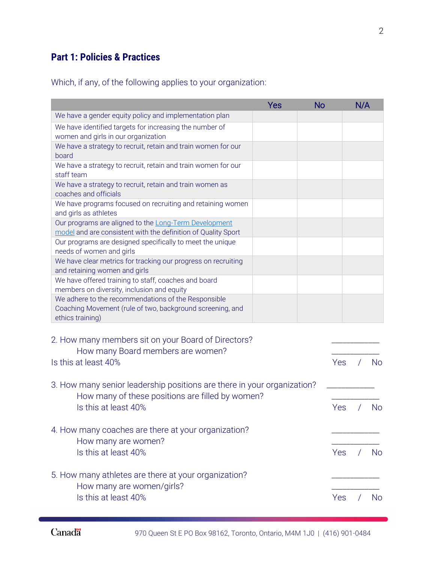## **Part 1: Policies & Practices**

Which, if any, of the following applies to your organization:

|                                                                                                                                      | Yes | <b>No</b> | N/A |           |
|--------------------------------------------------------------------------------------------------------------------------------------|-----|-----------|-----|-----------|
| We have a gender equity policy and implementation plan                                                                               |     |           |     |           |
| We have identified targets for increasing the number of<br>women and girls in our organization                                       |     |           |     |           |
| We have a strategy to recruit, retain and train women for our<br>board                                                               |     |           |     |           |
| We have a strategy to recruit, retain and train women for our<br>staff team                                                          |     |           |     |           |
| We have a strategy to recruit, retain and train women as<br>coaches and officials                                                    |     |           |     |           |
| We have programs focused on recruiting and retaining women<br>and girls as athletes                                                  |     |           |     |           |
| Our programs are aligned to the Long-Term Development<br>model and are consistent with the definition of Quality Sport               |     |           |     |           |
| Our programs are designed specifically to meet the unique<br>needs of women and girls                                                |     |           |     |           |
| We have clear metrics for tracking our progress on recruiting<br>and retaining women and girls                                       |     |           |     |           |
| We have offered training to staff, coaches and board<br>members on diversity, inclusion and equity                                   |     |           |     |           |
| We adhere to the recommendations of the Responsible<br>Coaching Movement (rule of two, background screening, and<br>ethics training) |     |           |     |           |
| 2. How many members sit on your Board of Directors?                                                                                  |     |           |     |           |
| How many Board members are women?<br>Is this at least 40%                                                                            |     | Yes       |     | <b>No</b> |
| 3. How many senior leadership positions are there in your organization?                                                              |     |           |     |           |
| How many of these positions are filled by women?<br>Is this at least 40%                                                             |     | Yes       |     | No        |
| 4. How many coaches are there at your organization?                                                                                  |     |           |     |           |
| How many are women?<br>Is this at least 40%                                                                                          |     | Yes       |     | <b>No</b> |
| 5. How many athletes are there at your organization?                                                                                 |     |           |     |           |
| How many are women/girls?<br>Is this at least 40%                                                                                    |     | Yes       |     | <b>No</b> |
|                                                                                                                                      |     |           |     |           |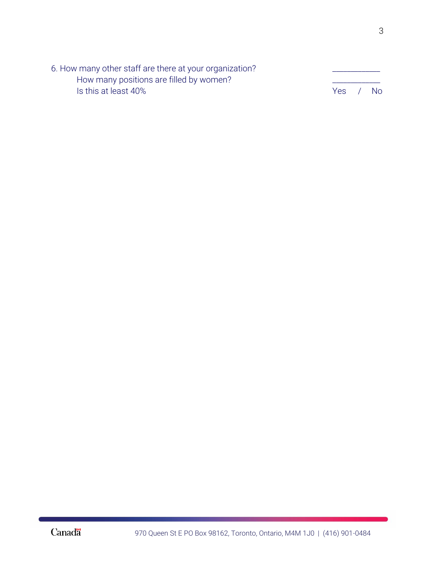| 6. How many other staff are there at your organization? |     |           |
|---------------------------------------------------------|-----|-----------|
| How many positions are filled by women?                 |     |           |
| Is this at least 40%                                    | Yes | <b>No</b> |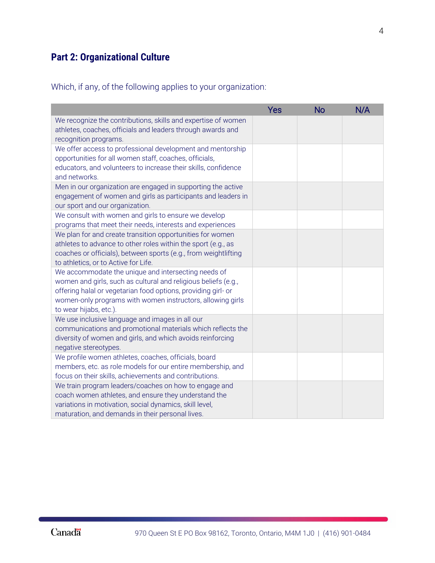# **Part 2: Organizational Culture**

Which, if any, of the following applies to your organization:

|                                                                                                                                                                                                                                                                                | Yes | <b>No</b> | N/A |
|--------------------------------------------------------------------------------------------------------------------------------------------------------------------------------------------------------------------------------------------------------------------------------|-----|-----------|-----|
| We recognize the contributions, skills and expertise of women<br>athletes, coaches, officials and leaders through awards and<br>recognition programs.                                                                                                                          |     |           |     |
| We offer access to professional development and mentorship<br>opportunities for all women staff, coaches, officials,<br>educators, and volunteers to increase their skills, confidence<br>and networks.                                                                        |     |           |     |
| Men in our organization are engaged in supporting the active<br>engagement of women and girls as participants and leaders in<br>our sport and our organization.                                                                                                                |     |           |     |
| We consult with women and girls to ensure we develop<br>programs that meet their needs, interests and experiences                                                                                                                                                              |     |           |     |
| We plan for and create transition opportunities for women<br>athletes to advance to other roles within the sport (e.g., as<br>coaches or officials), between sports (e.g., from weightlifting<br>to athletics, or to Active for Life.                                          |     |           |     |
| We accommodate the unique and intersecting needs of<br>women and girls, such as cultural and religious beliefs (e.g.,<br>offering halal or vegetarian food options, providing girl- or<br>women-only programs with women instructors, allowing girls<br>to wear hijabs, etc.). |     |           |     |
| We use inclusive language and images in all our<br>communications and promotional materials which reflects the<br>diversity of women and girls, and which avoids reinforcing<br>negative stereotypes.                                                                          |     |           |     |
| We profile women athletes, coaches, officials, board<br>members, etc. as role models for our entire membership, and<br>focus on their skills, achievements and contributions.                                                                                                  |     |           |     |
| We train program leaders/coaches on how to engage and<br>coach women athletes, and ensure they understand the<br>variations in motivation, social dynamics, skill level,<br>maturation, and demands in their personal lives.                                                   |     |           |     |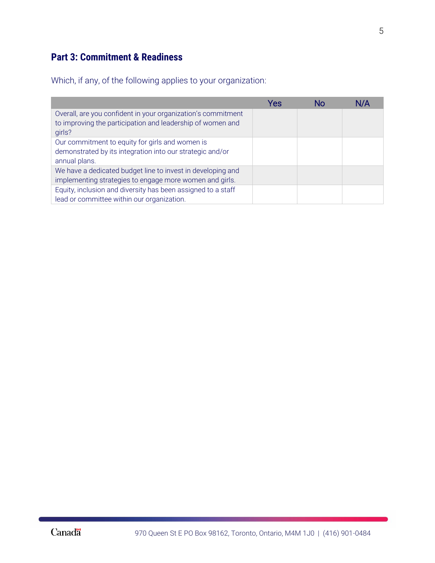# **Part 3: Commitment & Readiness**

Which, if any, of the following applies to your organization:

|                                                              | Yes | Nc | N/A |
|--------------------------------------------------------------|-----|----|-----|
| Overall, are you confident in your organization's commitment |     |    |     |
| to improving the participation and leadership of women and   |     |    |     |
| girls?                                                       |     |    |     |
| Our commitment to equity for girls and women is              |     |    |     |
| demonstrated by its integration into our strategic and/or    |     |    |     |
| annual plans.                                                |     |    |     |
| We have a dedicated budget line to invest in developing and  |     |    |     |
| implementing strategies to engage more women and girls.      |     |    |     |
| Equity, inclusion and diversity has been assigned to a staff |     |    |     |
| lead or committee within our organization.                   |     |    |     |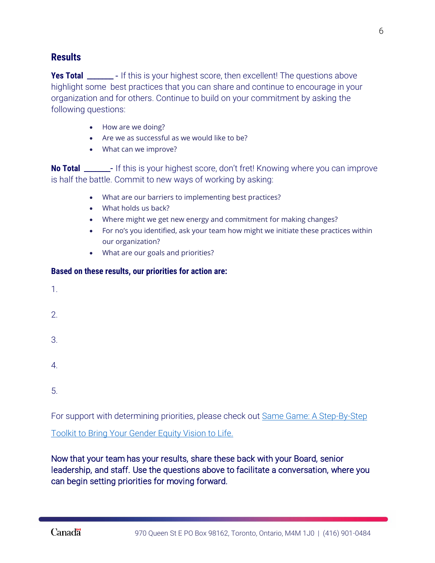### **Results**

**Yes Total** \_\_\_\_\_\_\_\_ - If this is your highest score, then excellent! The questions above highlight some best practices that you can share and continue to encourage in your organization and for others. Continue to build on your commitment by asking the following questions:

- How are we doing?
- Are we as successful as we would like to be?
- What can we improve?

**No Total** \_\_\_\_\_\_\_- If this is your highest score, don't fret! Knowing where you can improve is half the battle. Commit to new ways of working by asking:

- What are our barriers to implementing best practices?
- What holds us back?
- Where might we get new energy and commitment for making changes?
- For no's you identified, ask your team how might we initiate these practices within our organization?
- What are our goals and priorities?

#### **Based on these results, our priorities for action are:**

- 1.
- 2.
- 3.
- 
- 4.
- 
- 5.

For support with determining priorities, please check out Same Game: A Step-By-Step

[Toolkit to Bring Your Gender Equity Vision to Life.](https://womenandsport.ca/resources/tools/same-game/) 

Now that your team has your results, share these back with your Board, senior leadership, and staff. Use the questions above to facilitate a conversation, where you can begin setting priorities for moving forward.